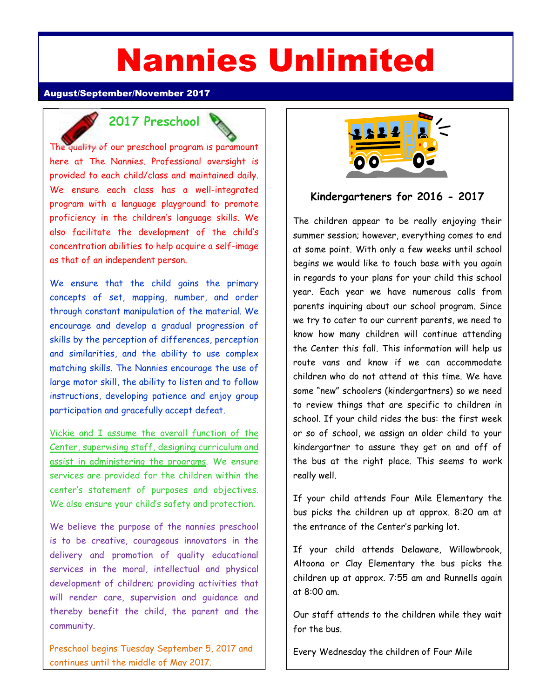# Nannies Unlimited

#### August/September/November 2017

### **2017 Preschool**

The quality of our preschool program is paramount here at The Nannies. Professional oversight is provided to each child/class and maintained daily. We ensure each class has a well-integrated program with a language playground to promote proficiency in the children's language skills. We also facilitate the development of the child's concentration abilities to help acquire a self-image as that of an independent person.

We ensure that the child gains the primary concepts of set, mapping, number, and order through constant manipulation of the material. We encourage and develop a gradual progression of skills by the perception of differences, perception and similarities, and the ability to use complex matching skills. The Nannies encourage the use of large motor skill, the ability to listen and to follow instructions, developing patience and enjoy group participation and gracefully accept defeat.

Vickie and I assume the overall function of the Center, supervising staff, designing curriculum and assist in administering the programs. We ensure services are provided for the children within the center's statement of purposes and objectives. We also ensure your child's safety and protection.

We believe the purpose of the nannies preschool is to be creative, courageous innovators in the delivery and promotion of quality educational services in the moral, intellectual and physical development of children; providing activities that will render care, supervision and guidance and thereby benefit the child, the parent and the community.

Preschool begins Tuesday September 5, 2017 and continues until the middle of May 2017.



#### **Kindergarteners for 2016 - 2017**

The children appear to be really enjoying their summer session; however, everything comes to end at some point. With only a few weeks until school begins we would like to touch base with you again in regards to your plans for your child this school year. Each year we have numerous calls from parents inquiring about our school program. Since we try to cater to our current parents, we need to know how many children will continue attending the Center this fall. This information will help us route vans and know if we can accommodate children who do not attend at this time. We have some "new" schoolers (kindergartners) so we need to review things that are specific to children in school. If your child rides the bus: the first week or so of school, we assign an older child to your kindergartner to assure they get on and off of the bus at the right place. This seems to work really well.

If your child attends Four Mile Elementary the bus picks the children up at approx. 8:20 am at the entrance of the Center's parking lot.

If your child attends Delaware, Willowbrook, Altoona or Clay Elementary the bus picks the children up at approx. 7:55 am and Runnells again at 8:00 am.

Our staff attends to the children while they wait for the bus.

Every Wednesday the children of Four Mile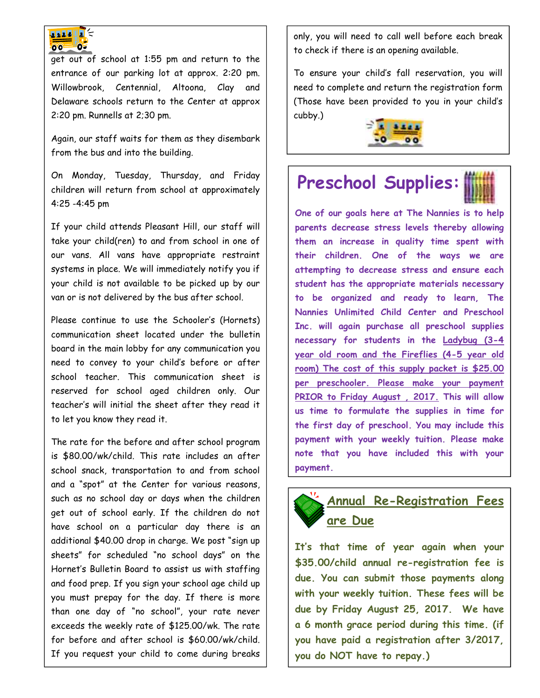

get out of school at 1:55 pm and return to the entrance of our parking lot at approx. 2:20 pm. Willowbrook, Centennial, Altoona, Clay and Delaware schools return to the Center at approx 2:20 pm. Runnells at 2;30 pm.

Again, our staff waits for them as they disembark from the bus and into the building.

On Monday, Tuesday, Thursday, and Friday children will return from school at approximately 4:25 -4:45 pm

If your child attends Pleasant Hill, our staff will take your child(ren) to and from school in one of our vans. All vans have appropriate restraint systems in place. We will immediately notify you if your child is not available to be picked up by our van or is not delivered by the bus after school.

Please continue to use the Schooler's (Hornets) communication sheet located under the bulletin board in the main lobby for any communication you need to convey to your child's before or after school teacher. This communication sheet is reserved for school aged children only. Our teacher's will initial the sheet after they read it to let you know they read it.

The rate for the before and after school program is \$80.00/wk/child. This rate includes an after school snack, transportation to and from school and a "spot" at the Center for various reasons, such as no school day or days when the children get out of school early. If the children do not have school on a particular day there is an additional \$40.00 drop in charge. We post "sign up sheets" for scheduled "no school days" on the Hornet's Bulletin Board to assist us with staffing and food prep. If you sign your school age child up you must prepay for the day. If there is more than one day of "no school", your rate never exceeds the weekly rate of \$125.00/wk. The rate for before and after school is \$60.00/wk/child. If you request your child to come during breaks

only, you will need to call well before each break

only, you will need to call well before each break to check if there is an opening available.

To ensure your child's fall reservation, you will need to complete and return the registration form (Those have been provided to you in your child's cubby.)



# **Preschool Supplies:**

**One of our goals here at The Nannies is to help parents decrease stress levels thereby allowing them an increase in quality time spent with their children. One of the ways we are attempting to decrease stress and ensure each student has the appropriate materials necessary to be organized and ready to learn, The Nannies Unlimited Child Center and Preschool Inc. will again purchase all preschool supplies necessary for students in the Ladybug (3-4 year old room and the Fireflies (4-5 year old room) The cost of this supply packet is \$25.00 per preschooler. Please make your payment PRIOR to Friday August , 2017. This will allow us time to formulate the supplies in time for the first day of preschool. You may include this payment with your weekly tuition. Please make note that you have included this with your payment.** 

## **Annual Re-Registration Fees are Due**

**It's that time of year again when your \$35.00/child annual re-registration fee is due. You can submit those payments along with your weekly tuition. These fees will be due by Friday August 25, 2017. We have a 6 month grace period during this time. (if you have paid a registration after 3/2017, you do NOT have to repay.)**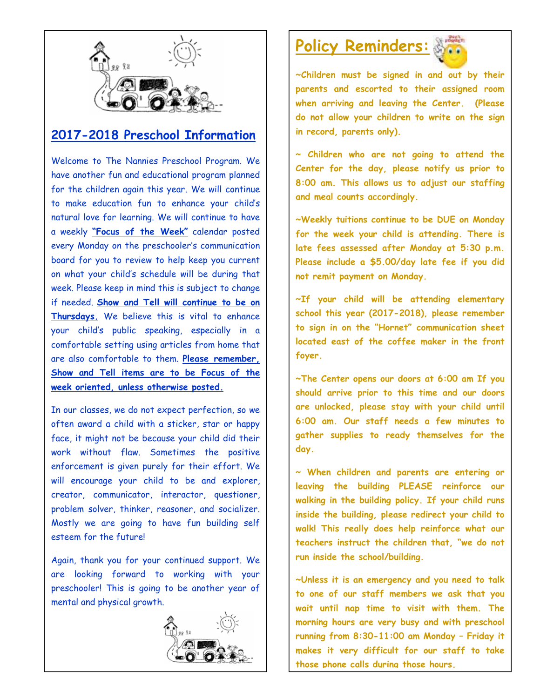

#### **2017-2018 Preschool Information**

Welcome to The Nannies Preschool Program. We have another fun and educational program planned for the children again this year. We will continue to make education fun to enhance your child's natural love for learning. We will continue to have a weekly **"Focus of the Week"** calendar posted every Monday on the preschooler's communication board for you to review to help keep you current on what your child's schedule will be during that week. Please keep in mind this is subject to change if needed. **Show and Tell will continue to be on Thursdays.** We believe this is vital to enhance your child's public speaking, especially in a comfortable setting using articles from home that are also comfortable to them. **Please remember, Show and Tell items are to be Focus of the week oriented, unless otherwise posted.**

In our classes, we do not expect perfection, so we often award a child with a sticker, star or happy face, it might not be because your child did their work without flaw. Sometimes the positive enforcement is given purely for their effort. We will encourage your child to be and explorer, creator, communicator, interactor, questioner, problem solver, thinker, reasoner, and socializer. Mostly we are going to have fun building self esteem for the future!

Again, thank you for your continued support. We are looking forward to working with your preschooler! This is going to be another year of mental and physical growth.



# **Policy Reminders:**



**~Children must be signed in and out by their parents and escorted to their assigned room when arriving and leaving the Center. (Please do not allow your children to write on the sign in record, parents only).** 

**~ Children who are not going to attend the Center for the day, please notify us prior to 8:00 am. This allows us to adjust our staffing and meal counts accordingly.** 

**~Weekly tuitions continue to be DUE on Monday for the week your child is attending. There is late fees assessed after Monday at 5:30 p.m. Please include a \$5.00/day late fee if you did not remit payment on Monday.** 

**~If your child will be attending elementary school this year (2017-2018), please remember to sign in on the "Hornet" communication sheet located east of the coffee maker in the front foyer.** 

**~The Center opens our doors at 6:00 am If you should arrive prior to this time and our doors are unlocked, please stay with your child until 6:00 am. Our staff needs a few minutes to gather supplies to ready themselves for the day.** 

**~ When children and parents are entering or leaving the building PLEASE reinforce our walking in the building policy. If your child runs inside the building, please redirect your child to walk! This really does help reinforce what our teachers instruct the children that, "we do not run inside the school/building.** 

**~Unless it is an emergency and you need to talk to one of our staff members we ask that you wait until nap time to visit with them. The morning hours are very busy and with preschool running from 8:30-11:00 am Monday – Friday it makes it very difficult for our staff to take those phone calls during those hours.**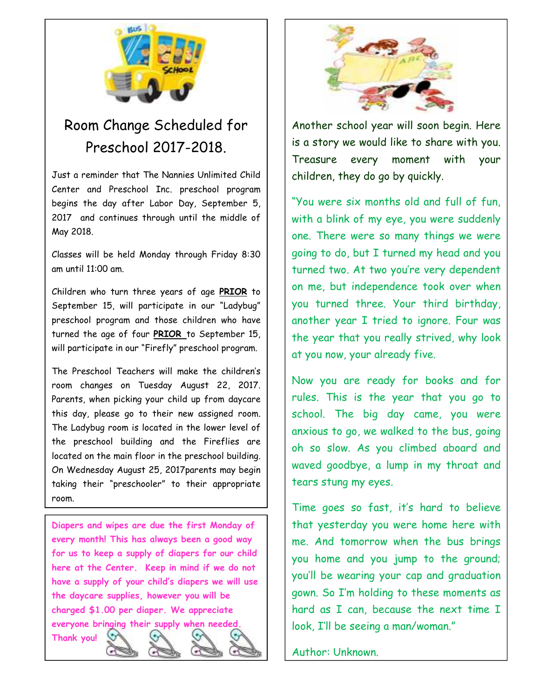

# Room Change Scheduled for Preschool 2017-2018.

Just a reminder that The Nannies Unlimited Child Center and Preschool Inc. preschool program begins the day after Labor Day, September 5, 2017 and continues through until the middle of May 2018.

Classes will be held Monday through Friday 8:30 am until 11:00 am.

Children who turn three years of age **PRIOR** to September 15, will participate in our "Ladybug" preschool program and those children who have turned the age of four **PRIOR** to September 15, will participate in our "Firefly" preschool program.

The Preschool Teachers will make the children's room changes on Tuesday August 22, 2017. Parents, when picking your child up from daycare this day, please go to their new assigned room. The Ladybug room is located in the lower level of the preschool building and the Fireflies are located on the main floor in the preschool building. On Wednesday August 25, 2017parents may begin taking their "preschooler" to their appropriate room.

**Diapers and wipes are due the first Monday of every month! This has always been a good way for us to keep a supply of diapers for our child here at the Center. Keep in mind if we do not have a supply of your child's diapers we will use the daycare supplies, however you will be charged \$1.00 per diaper. We appreciate everyone bringing their supply when needed.** 





Another school year will soon begin. Here is a story we would like to share with you. Treasure every moment with your children, they do go by quickly.

"You were six months old and full of fun, with a blink of my eye, you were suddenly one. There were so many things we were going to do, but I turned my head and you turned two. At two you're very dependent on me, but independence took over when you turned three. Your third birthday, another year I tried to ignore. Four was the year that you really strived, why look at you now, your already five.

Now you are ready for books and for rules. This is the year that you go to school. The big day came, you were anxious to go, we walked to the bus, going oh so slow. As you climbed aboard and waved goodbye, a lump in my throat and tears stung my eyes.

Time goes so fast, it's hard to believe that yesterday you were home here with me. And tomorrow when the bus brings you home and you jump to the ground; you'll be wearing your cap and graduation gown. So I'm holding to these moments as hard as I can, because the next time I look, I'll be seeing a man/woman."

Author: Unknown.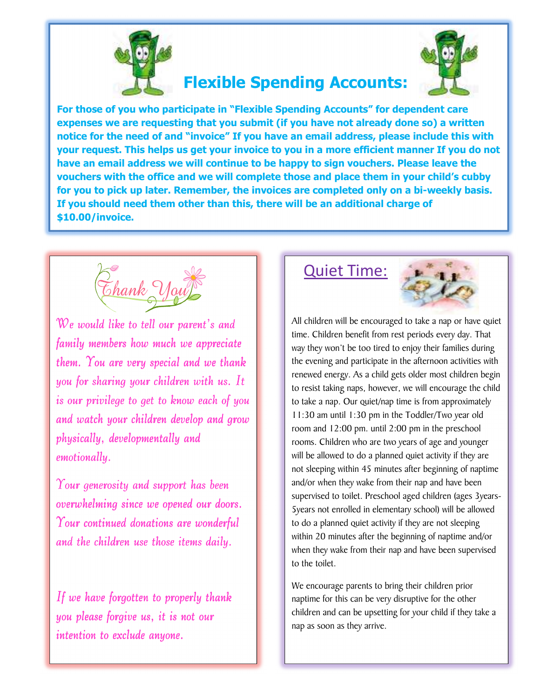

# **Flexible Spending Accounts:**



**For those of you who participate in "Flexible Spending Accounts" for dependent care expenses we are requesting that you submit (if you have not already done so) a written notice for the need of and "invoice" If you have an email address, please include this with your request. This helps us get your invoice to you in a more efficient manner If you do not have an email address we will continue to be happy to sign vouchers. Please leave the vouchers with the office and we will complete those and place them in your child's cubby for you to pick up later. Remember, the invoices are completed only on a bi-weekly basis. If you should need them other than this, there will be an additional charge of \$10.00/invoice.** 



We would like to tell our parent's and family members how much we appreciate them. You are very special and we thank you for sharing your children with us. It is our privilege to get to know each of you and watch your children develop and grow physically, developmentally and emotionally.

Your generosity and support has been overwhelming since we opened our doors. Your continued donations are wonderful and the children use those items daily.

If we have forgotten to properly thank you please forgive us, it is not our intention to exclude anyone.

#### Quiet Time:



All children will be encouraged to take a nap or have quiet time. Children benefit from rest periods every day. That way they won't be too tired to enjoy their families during the evening and participate in the afternoon activities with renewed energy. As a child gets older most children begin to resist taking naps, however, we will encourage the child to take a nap. Our quiet/nap time is from approximately 11:30 am until 1:30 pm in the Toddler/Two year old room and 12:00 pm. until 2:00 pm in the preschool rooms. Children who are two years of age and younger will be allowed to do a planned quiet activity if they are not sleeping within 45 minutes after beginning of naptime and/or when they wake from their nap and have been supervised to toilet. Preschool aged children (ages 3years-5years not enrolled in elementary school) will be allowed to do a planned quiet activity if they are not sleeping within 20 minutes after the beginning of naptime and/or when they wake from their nap and have been supervised to the toilet.

We encourage parents to bring their children prior naptime for this can be very disruptive for the other children and can be upsetting for your child if they take a nap as soon as they arrive.